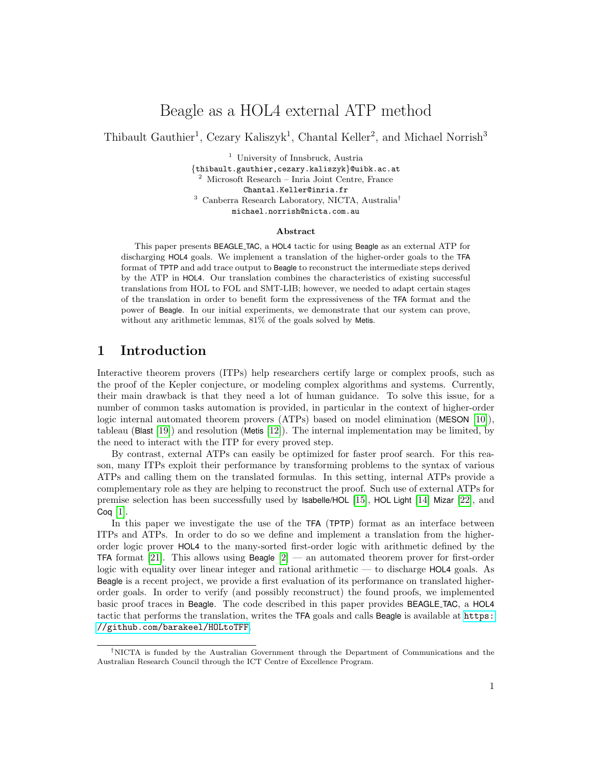# Beagle as a HOL4 external ATP method

Thibault Gauthier<sup>1</sup>, Cezary Kaliszyk<sup>1</sup>, Chantal Keller<sup>2</sup>, and Michael Norrish<sup>3</sup>

<sup>1</sup> University of Innsbruck, Austria

{thibault.gauthier,cezary.kaliszyk}@uibk.ac.at <sup>2</sup> Microsoft Research – Inria Joint Centre, France Chantal.Keller@inria.fr <sup>3</sup> Canberra Research Laboratory, NICTA, Australia† michael.norrish@nicta.com.au

#### Abstract

This paper presents BEAGLE TAC, a HOL4 tactic for using Beagle as an external ATP for discharging HOL4 goals. We implement a translation of the higher-order goals to the TFA format of TPTP and add trace output to Beagle to reconstruct the intermediate steps derived by the ATP in HOL4. Our translation combines the characteristics of existing successful translations from HOL to FOL and SMT-LIB; however, we needed to adapt certain stages of the translation in order to benefit form the expressiveness of the TFA format and the power of Beagle. In our initial experiments, we demonstrate that our system can prove, without any arithmetic lemmas,  $81\%$  of the goals solved by Metis.

### 1 Introduction

Interactive theorem provers (ITPs) help researchers certify large or complex proofs, such as the proof of the Kepler conjecture, or modeling complex algorithms and systems. Currently, their main drawback is that they need a lot of human guidance. To solve this issue, for a number of common tasks automation is provided, in particular in the context of higher-order logic internal automated theorem provers (ATPs) based on model elimination (MESON [\[10\]](#page-9-0)), tableau (Blast [\[19\]](#page-9-1)) and resolution (Metis [\[12\]](#page-9-2)). The internal implementation may be limited, by the need to interact with the ITP for every proved step.

By contrast, external ATPs can easily be optimized for faster proof search. For this reason, many ITPs exploit their performance by transforming problems to the syntax of various ATPs and calling them on the translated formulas. In this setting, internal ATPs provide a complementary role as they are helping to reconstruct the proof. Such use of external ATPs for premise selection has been successfully used by Isabelle/HOL [\[15\]](#page-9-3), HOL Light [\[14\]](#page-9-4) Mizar [\[22\]](#page-9-5), and  $Coq$   $[1]$ .

In this paper we investigate the use of the **TFA** (**TPTP**) format as an interface between ITPs and ATPs. In order to do so we define and implement a translation from the higherorder logic prover HOL4 to the many-sorted first-order logic with arithmetic defined by the **TFA** format [\[21\]](#page-9-6). This allows using Beagle  $[2]$  — an automated theorem prover for first-order logic with equality over linear integer and rational arithmetic — to discharge HOL4 goals. As Beagle is a recent project, we provide a first evaluation of its performance on translated higherorder goals. In order to verify (and possibly reconstruct) the found proofs, we implemented basic proof traces in Beagle. The code described in this paper provides BEAGLE TAC, a HOL4 tactic that performs the translation, writes the TFA goals and calls Beagle is available at [https:](https://github.com/barakeel/HOLtoTFF) [//github.com/barakeel/HOLtoTFF](https://github.com/barakeel/HOLtoTFF).

<sup>†</sup>NICTA is funded by the Australian Government through the Department of Communications and the Australian Research Council through the ICT Centre of Excellence Program.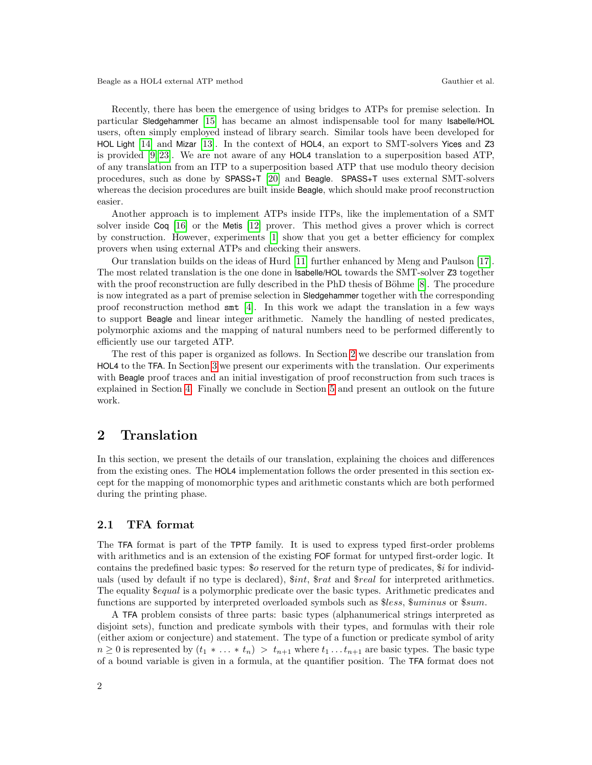Recently, there has been the emergence of using bridges to ATPs for premise selection. In particular Sledgehammer [\[15\]](#page-9-3) has became an almost indispensable tool for many Isabelle/HOL users, often simply employed instead of library search. Similar tools have been developed for HOL Light [\[14\]](#page-9-4) and Mizar [\[13\]](#page-9-7). In the context of HOL4, an export to SMT-solvers Yices and Z3 is provided [\[9,](#page-8-2) [23\]](#page-9-8). We are not aware of any HOL4 translation to a superposition based ATP, of any translation from an ITP to a superposition based ATP that use modulo theory decision procedures, such as done by SPASS+T [\[20\]](#page-9-9) and Beagle. SPASS+T uses external SMT-solvers whereas the decision procedures are built inside Beagle, which should make proof reconstruction easier.

Another approach is to implement ATPs inside ITPs, like the implementation of a SMT solver inside Coq [\[16\]](#page-9-10) or the Metis [\[12\]](#page-9-2) prover. This method gives a prover which is correct by construction. However, experiments [\[1\]](#page-8-0) show that you get a better efficiency for complex provers when using external ATPs and checking their answers.

Our translation builds on the ideas of Hurd [\[11\]](#page-9-11) further enhanced by Meng and Paulson [\[17\]](#page-9-12). The most related translation is the one done in Isabelle/HOL towards the SMT-solver Z3 together with the proof reconstruction are fully described in the PhD thesis of Böhme  $[8]$ . The procedure is now integrated as a part of premise selection in Sledgehammer together with the corresponding proof reconstruction method smt [\[4\]](#page-8-4). In this work we adapt the translation in a few ways to support Beagle and linear integer arithmetic. Namely the handling of nested predicates, polymorphic axioms and the mapping of natural numbers need to be performed differently to efficiently use our targeted ATP.

The rest of this paper is organized as follows. In Section [2](#page-1-0) we describe our translation from HOL4 to the TFA. In Section [3](#page-4-0) we present our experiments with the translation. Our experiments with Beagle proof traces and an initial investigation of proof reconstruction from such traces is explained in Section [4.](#page-6-0) Finally we conclude in Section [5](#page-7-0) and present an outlook on the future work.

### <span id="page-1-0"></span>2 Translation

In this section, we present the details of our translation, explaining the choices and differences from the existing ones. The HOL4 implementation follows the order presented in this section except for the mapping of monomorphic types and arithmetic constants which are both performed during the printing phase.

#### 2.1 TFA format

The TFA format is part of the TPTP family. It is used to express typed first-order problems with arithmetics and is an extension of the existing FOF format for untyped first-order logic. It contains the predefined basic types: \$o reserved for the return type of predicates, \$i for individuals (used by default if no type is declared), \$int, \$rat and \$real for interpreted arithmetics. The equality  $\mathcal{F}$  equal is a polymorphic predicate over the basic types. Arithmetic predicates and functions are supported by interpreted overloaded symbols such as \$less, \$uminus or \$sum.

A TFA problem consists of three parts: basic types (alphanumerical strings interpreted as disjoint sets), function and predicate symbols with their types, and formulas with their role (either axiom or conjecture) and statement. The type of a function or predicate symbol of arity  $n \geq 0$  is represented by  $(t_1 * \ldots * t_n) > t_{n+1}$  where  $t_1 \ldots t_{n+1}$  are basic types. The basic type of a bound variable is given in a formula, at the quantifier position. The TFA format does not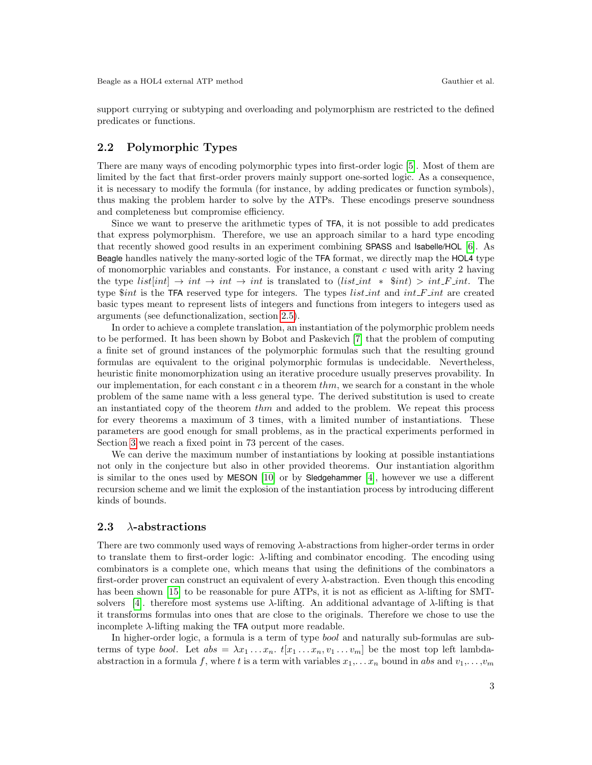support currying or subtyping and overloading and polymorphism are restricted to the defined predicates or functions.

### <span id="page-2-0"></span>2.2 Polymorphic Types

There are many ways of encoding polymorphic types into first-order logic [\[5\]](#page-8-5). Most of them are limited by the fact that first-order provers mainly support one-sorted logic. As a consequence, it is necessary to modify the formula (for instance, by adding predicates or function symbols), thus making the problem harder to solve by the ATPs. These encodings preserve soundness and completeness but compromise efficiency.

Since we want to preserve the arithmetic types of TFA, it is not possible to add predicates that express polymorphism. Therefore, we use an approach similar to a hard type encoding that recently showed good results in an experiment combining SPASS and Isabelle/HOL [\[6\]](#page-8-6). As Beagle handles natively the many-sorted logic of the TFA format, we directly map the HOL4 type of monomorphic variables and constants. For instance, a constant  $c$  used with arity 2 having the type  $list(int] \rightarrow int \rightarrow int \rightarrow int$  is translated to  $(list.int * $int) > int\_F.int$ . The type  $\frac{1}{2}$  int is the TFA reserved type for integers. The types list int and int F int are created basic types meant to represent lists of integers and functions from integers to integers used as arguments (see defunctionalization, section [2.5\)](#page-3-0).

In order to achieve a complete translation, an instantiation of the polymorphic problem needs to be performed. It has been shown by Bobot and Paskevich [\[7\]](#page-8-7) that the problem of computing a finite set of ground instances of the polymorphic formulas such that the resulting ground formulas are equivalent to the original polymorphic formulas is undecidable. Nevertheless, heuristic finite monomorphization using an iterative procedure usually preserves provability. In our implementation, for each constant  $c$  in a theorem  $thm$ , we search for a constant in the whole problem of the same name with a less general type. The derived substitution is used to create an instantiated copy of the theorem  $thm$  and added to the problem. We repeat this process for every theorems a maximum of 3 times, with a limited number of instantiations. These parameters are good enough for small problems, as in the practical experiments performed in Section [3](#page-4-0) we reach a fixed point in 73 percent of the cases.

We can derive the maximum number of instantiations by looking at possible instantiations not only in the conjecture but also in other provided theorems. Our instantiation algorithm is similar to the ones used by MESON [\[10\]](#page-9-0) or by Sledgehammer [\[4\]](#page-8-4), however we use a different recursion scheme and we limit the explosion of the instantiation process by introducing different kinds of bounds.

#### 2.3  $\lambda$ -abstractions

There are two commonly used ways of removing λ-abstractions from higher-order terms in order to translate them to first-order logic:  $\lambda$ -lifting and combinator encoding. The encoding using combinators is a complete one, which means that using the definitions of the combinators a first-order prover can construct an equivalent of every  $\lambda$ -abstraction. Even though this encoding has been shown [\[15\]](#page-9-3) to be reasonable for pure ATPs, it is not as efficient as  $\lambda$ -lifting for SMT-solvers [\[4\]](#page-8-4). therefore most systems use  $\lambda$ -lifting. An additional advantage of  $\lambda$ -lifting is that it transforms formulas into ones that are close to the originals. Therefore we chose to use the incomplete  $\lambda$ -lifting making the TFA output more readable.

In higher-order logic, a formula is a term of type bool and naturally sub-formulas are subterms of type *bool.* Let  $abs = \lambda x_1 \ldots x_n$ ,  $t[x_1 \ldots x_n, v_1 \ldots v_m]$  be the most top left lambdaabstraction in a formula f, where t is a term with variables  $x_1, \ldots, x_n$  bound in abs and  $v_1, \ldots, v_m$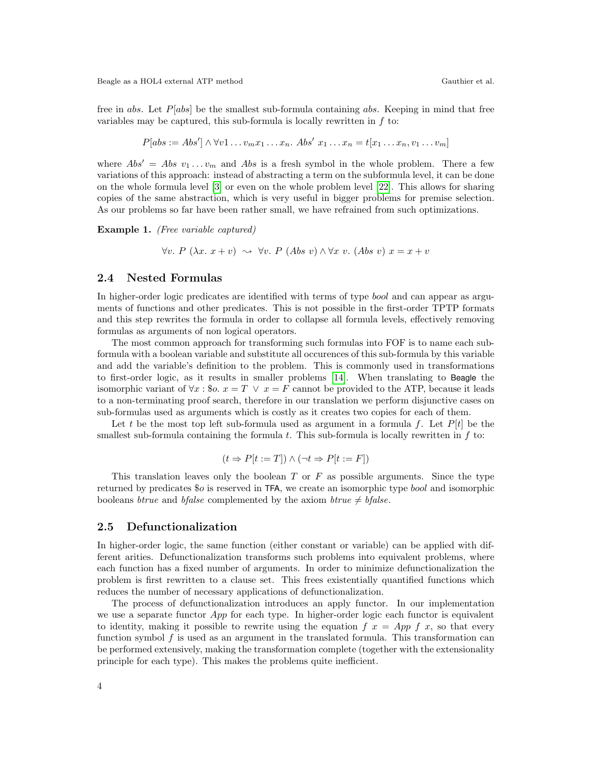Beagle as a HOL4 external ATP method Gauthier et al.

free in abs. Let  $P[abs]$  be the smallest sub-formula containing abs. Keeping in mind that free variables may be captured, this sub-formula is locally rewritten in  $f$  to:

$$
P[abs := Abs'] \wedge \forall v1 \dots v_m x_1 \dots x_n. Abs' x_1 \dots x_n = t[x_1 \dots x_n, v_1 \dots v_m]
$$

where  $Abs' = Abs v_1 ... v_m$  and Abs is a fresh symbol in the whole problem. There a few variations of this approach: instead of abstracting a term on the subformula level, it can be done on the whole formula level [\[3\]](#page-8-8) or even on the whole problem level [\[22\]](#page-9-5). This allows for sharing copies of the same abstraction, which is very useful in bigger problems for premise selection. As our problems so far have been rather small, we have refrained from such optimizations.

Example 1. (Free variable captured)

$$
\forall v. \ P (\lambda x. x + v) \rightsquigarrow \forall v. \ P (Abs \ v) \wedge \forall x \ v. (Abs \ v) \ x = x + v
$$

#### 2.4 Nested Formulas

In higher-order logic predicates are identified with terms of type bool and can appear as arguments of functions and other predicates. This is not possible in the first-order TPTP formats and this step rewrites the formula in order to collapse all formula levels, effectively removing formulas as arguments of non logical operators.

The most common approach for transforming such formulas into FOF is to name each subformula with a boolean variable and substitute all occurences of this sub-formula by this variable and add the variable's definition to the problem. This is commonly used in transformations to first-order logic, as it results in smaller problems [\[14\]](#page-9-4). When translating to Beagle the isomorphic variant of  $\forall x :$  \$o.  $x = T \lor x = F$  cannot be provided to the ATP, because it leads to a non-terminating proof search, therefore in our translation we perform disjunctive cases on sub-formulas used as arguments which is costly as it creates two copies for each of them.

Let t be the most top left sub-formula used as argument in a formula f. Let  $P[t]$  be the smallest sub-formula containing the formula t. This sub-formula is locally rewritten in  $f$  to:

$$
(t \Rightarrow P[t := T]) \land (\neg t \Rightarrow P[t := F])
$$

This translation leaves only the boolean  $T$  or  $F$  as possible arguments. Since the type returned by predicates \$o is reserved in TFA, we create an isomorphic type bool and isomorphic booleans *btrue* and *bfalse* complemented by the axiom *btrue*  $\neq$  *bfalse.* 

#### <span id="page-3-0"></span>2.5 Defunctionalization

In higher-order logic, the same function (either constant or variable) can be applied with different arities. Defunctionalization transforms such problems into equivalent problems, where each function has a fixed number of arguments. In order to minimize defunctionalization the problem is first rewritten to a clause set. This frees existentially quantified functions which reduces the number of necessary applications of defunctionalization.

The process of defunctionalization introduces an apply functor. In our implementation we use a separate functor App for each type. In higher-order logic each functor is equivalent to identity, making it possible to rewrite using the equation  $f\ x = App\ f\ x$ , so that every function symbol  $f$  is used as an argument in the translated formula. This transformation can be performed extensively, making the transformation complete (together with the extensionality principle for each type). This makes the problems quite inefficient.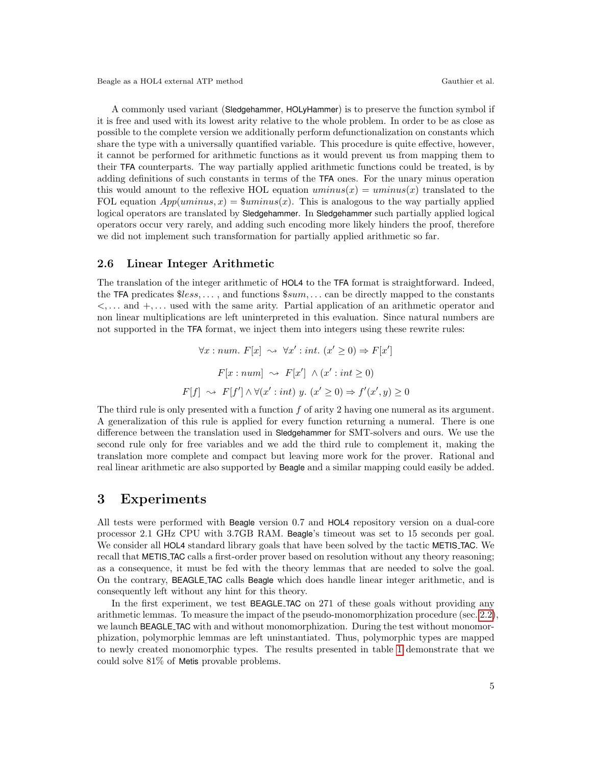Beagle as a HOL4 external ATP method Gauthier et al.

A commonly used variant (Sledgehammer, HOLyHammer) is to preserve the function symbol if it is free and used with its lowest arity relative to the whole problem. In order to be as close as possible to the complete version we additionally perform defunctionalization on constants which share the type with a universally quantified variable. This procedure is quite effective, however, it cannot be performed for arithmetic functions as it would prevent us from mapping them to their TFA counterparts. The way partially applied arithmetic functions could be treated, is by adding definitions of such constants in terms of the TFA ones. For the unary minus operation this would amount to the reflexive HOL equation  $uminus(x) =uminus(x)$  translated to the FOL equation  $App(uminus, x) = 3uminus(x)$ . This is analogous to the way partially applied logical operators are translated by Sledgehammer. In Sledgehammer such partially applied logical operators occur very rarely, and adding such encoding more likely hinders the proof, therefore we did not implement such transformation for partially applied arithmetic so far.

#### 2.6 Linear Integer Arithmetic

The translation of the integer arithmetic of HOL4 to the TFA format is straightforward. Indeed, the TFA predicates  $$less, \ldots$ , and functions  $$sum, \ldots$  can be directly mapped to the constants  $\lt$ ,... and  $+$ ,... used with the same arity. Partial application of an arithmetic operator and non linear multiplications are left uninterpreted in this evaluation. Since natural numbers are not supported in the TFA format, we inject them into integers using these rewrite rules:

$$
\forall x : num. F[x] \rightsquigarrow \forall x' : int. (x' \ge 0) \Rightarrow F[x']
$$

$$
F[x : num] \rightsquigarrow F[x'] \land (x' : int \ge 0)
$$

$$
F[f] \rightsquigarrow F[f'] \land \forall (x' : int) y. (x' \ge 0) \Rightarrow f'(x', y) \ge 0
$$

The third rule is only presented with a function  $f$  of arity 2 having one numeral as its argument. A generalization of this rule is applied for every function returning a numeral. There is one difference between the translation used in Sledgehammer for SMT-solvers and ours. We use the second rule only for free variables and we add the third rule to complement it, making the translation more complete and compact but leaving more work for the prover. Rational and real linear arithmetic are also supported by Beagle and a similar mapping could easily be added.

### <span id="page-4-0"></span>3 Experiments

All tests were performed with Beagle version 0.7 and HOL4 repository version on a dual-core processor 2.1 GHz CPU with 3.7GB RAM. Beagle's timeout was set to 15 seconds per goal. We consider all **HOL4** standard library goals that have been solved by the tactic **METIS\_TAC.** We recall that METIS TAC calls a first-order prover based on resolution without any theory reasoning; as a consequence, it must be fed with the theory lemmas that are needed to solve the goal. On the contrary, BEAGLE TAC calls Beagle which does handle linear integer arithmetic, and is consequently left without any hint for this theory.

In the first experiment, we test **BEAGLE\_TAC** on 271 of these goals without providing any arithmetic lemmas. To measure the impact of the pseudo-monomorphization procedure (sec. [2.2\)](#page-2-0), we launch BEAGLE TAC with and without monomorphization. During the test without monomorphization, polymorphic lemmas are left uninstantiated. Thus, polymorphic types are mapped to newly created monomorphic types. The results presented in table [1](#page-5-0) demonstrate that we could solve 81% of Metis provable problems.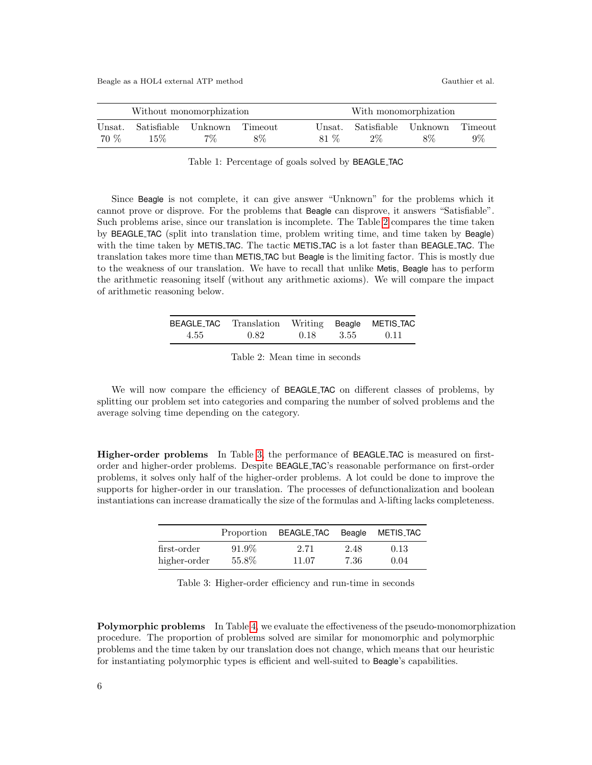| Without monomorphization |        |                                   | With monomorphization |      |                                     |  |                  |
|--------------------------|--------|-----------------------------------|-----------------------|------|-------------------------------------|--|------------------|
| Unsat.<br>70 %           | $15\%$ | Satisfiable Unknown Timeout<br>7% | 8%                    | 81 % | Unsat. Satisfiable Unknown<br>$2\%$ |  | Timeout<br>$9\%$ |

<span id="page-5-0"></span>Table 1: Percentage of goals solved by BEAGLE TAC

Since Beagle is not complete, it can give answer "Unknown" for the problems which it cannot prove or disprove. For the problems that Beagle can disprove, it answers "Satisfiable". Such problems arise, since our translation is incomplete. The Table [2](#page-5-1) compares the time taken by BEAGLE TAC (split into translation time, problem writing time, and time taken by Beagle) with the time taken by METIS TAC. The tactic METIS TAC is a lot faster than BEAGLE TAC. The translation takes more time than METIS TAC but Beagle is the limiting factor. This is mostly due to the weakness of our translation. We have to recall that unlike Metis, Beagle has to perform the arithmetic reasoning itself (without any arithmetic axioms). We will compare the impact of arithmetic reasoning below.

|      | BEAGLE_TAC Translation Writing Beagle METIS_TAC |      |      |      |
|------|-------------------------------------------------|------|------|------|
| 4.55 | 0.82                                            | 0.18 | 3.55 | 0.11 |

<span id="page-5-1"></span>Table 2: Mean time in seconds

We will now compare the efficiency of BEAGLE TAC on different classes of problems, by splitting our problem set into categories and comparing the number of solved problems and the average solving time depending on the category.

Higher-order problems In Table [3,](#page-5-2) the performance of BEAGLE TAC is measured on firstorder and higher-order problems. Despite BEAGLE TAC's reasonable performance on first-order problems, it solves only half of the higher-order problems. A lot could be done to improve the supports for higher-order in our translation. The processes of defunctionalization and boolean instantiations can increase dramatically the size of the formulas and  $\lambda$ -lifting lacks completeness.

|              |       | Proportion BEAGLE_TAC | Beagle | METIS <sub>-</sub> TAC |
|--------------|-------|-----------------------|--------|------------------------|
| first-order  | 91.9% | 2.71                  | 2.48   | 0.13                   |
| higher-order | 55.8% | 11.07                 | 7.36   | 0.04                   |

<span id="page-5-2"></span>Table 3: Higher-order efficiency and run-time in seconds

Polymorphic problems In Table [4,](#page-6-1) we evaluate the effectiveness of the pseudo-monomorphization procedure. The proportion of problems solved are similar for monomorphic and polymorphic problems and the time taken by our translation does not change, which means that our heuristic for instantiating polymorphic types is efficient and well-suited to Beagle's capabilities.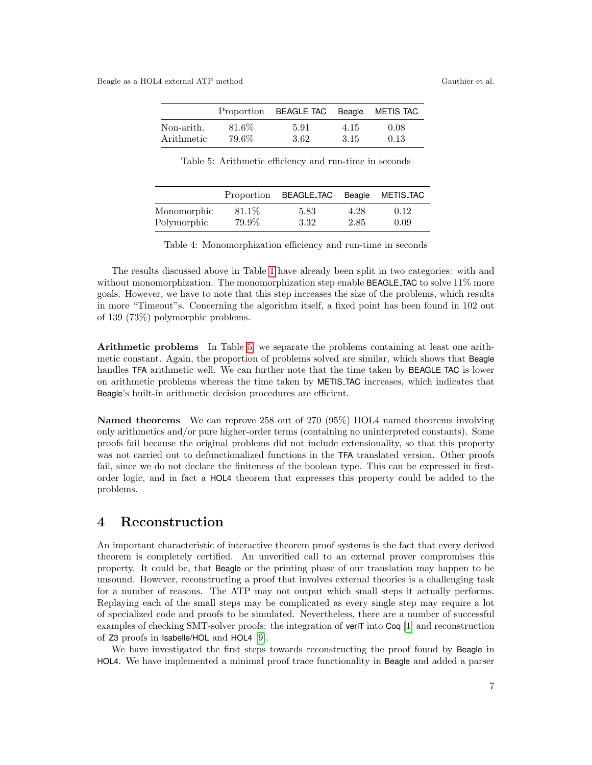|            |       | Proportion BEAGLE_TAC Beagle METIS_TAC |      |      |
|------------|-------|----------------------------------------|------|------|
| Non-arith. | 81.6% | 5.91                                   | 4.15 | 0.08 |
| Arithmetic | 79.6% | 3.62                                   | 3.15 | 0.13 |

<span id="page-6-2"></span><span id="page-6-1"></span>Table 5: Arithmetic efficiency and run-time in seconds

|             | Proportion | BEAGLE_TAC | Beagle | METIS_TAC |
|-------------|------------|------------|--------|-----------|
| Monomorphic | 81.1\%     | 5.83       | 4.28   | 0.12      |
| Polymorphic | 79.9%      | 3.32       | 2.85   | 0.09      |

Table 4: Monomorphization efficiency and run-time in seconds

The results discussed above in Table [1](#page-5-0) have already been split in two categories: with and without monomorphization. The monomorphization step enable **BEAGLE\_TAC** to solve  $11\%$  more goals. However, we have to note that this step increases the size of the problems, which results in more "Timeout"s. Concerning the algorithm itself, a fixed point has been found in 102 out of 139 (73%) polymorphic problems.

Arithmetic problems In Table [5,](#page-6-2) we separate the problems containing at least one arithmetic constant. Again, the proportion of problems solved are similar, which shows that Beagle handles TFA arithmetic well. We can further note that the time taken by BEAGLE TAC is lower on arithmetic problems whereas the time taken by METIS TAC increases, which indicates that Beagle's built-in arithmetic decision procedures are efficient.

Named theorems We can reprove 258 out of 270 (95%) HOL4 named theorems involving only arithmetics and/or pure higher-order terms (containing no uninterpreted constants). Some proofs fail because the original problems did not include extensionality, so that this property was not carried out to defunctionalized functions in the TFA translated version. Other proofs fail, since we do not declare the finiteness of the boolean type. This can be expressed in firstorder logic, and in fact a HOL4 theorem that expresses this property could be added to the problems.

### <span id="page-6-0"></span>4 Reconstruction

An important characteristic of interactive theorem proof systems is the fact that every derived theorem is completely certified. An unverified call to an external prover compromises this property. It could be, that Beagle or the printing phase of our translation may happen to be unsound. However, reconstructing a proof that involves external theories is a challenging task for a number of reasons. The ATP may not output which small steps it actually performs. Replaying each of the small steps may be complicated as every single step may require a lot of specialized code and proofs to be simulated. Nevertheless, there are a number of successful examples of checking SMT-solver proofs: the integration of veriT into Coq [\[1\]](#page-8-0) and reconstruction of Z3 proofs in Isabelle/HOL and HOL4 [\[9\]](#page-8-2).

We have investigated the first steps towards reconstructing the proof found by Beagle in HOL4. We have implemented a minimal proof trace functionality in Beagle and added a parser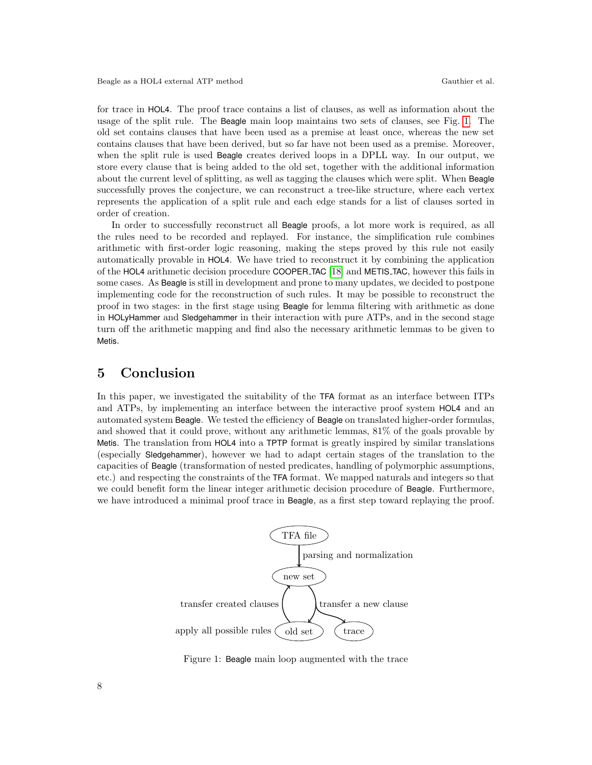for trace in HOL4. The proof trace contains a list of clauses, as well as information about the usage of the split rule. The Beagle main loop maintains two sets of clauses, see Fig. [1.](#page-7-1) The old set contains clauses that have been used as a premise at least once, whereas the new set contains clauses that have been derived, but so far have not been used as a premise. Moreover, when the split rule is used Beagle creates derived loops in a DPLL way. In our output, we store every clause that is being added to the old set, together with the additional information about the current level of splitting, as well as tagging the clauses which were split. When Beagle successfully proves the conjecture, we can reconstruct a tree-like structure, where each vertex represents the application of a split rule and each edge stands for a list of clauses sorted in order of creation.

In order to successfully reconstruct all Beagle proofs, a lot more work is required, as all the rules need to be recorded and replayed. For instance, the simplification rule combines arithmetic with first-order logic reasoning, making the steps proved by this rule not easily automatically provable in HOL4. We have tried to reconstruct it by combining the application of the HOL4 arithmetic decision procedure COOPER TAC [\[18\]](#page-9-13) and METIS TAC, however this fails in some cases. As Beagle is still in development and prone to many updates, we decided to postpone implementing code for the reconstruction of such rules. It may be possible to reconstruct the proof in two stages: in the first stage using Beagle for lemma filtering with arithmetic as done in HOLyHammer and Sledgehammer in their interaction with pure ATPs, and in the second stage turn off the arithmetic mapping and find also the necessary arithmetic lemmas to be given to Metis.

## <span id="page-7-0"></span>5 Conclusion

In this paper, we investigated the suitability of the TFA format as an interface between ITPs and ATPs, by implementing an interface between the interactive proof system HOL4 and an automated system Beagle. We tested the efficiency of Beagle on translated higher-order formulas, and showed that it could prove, without any arithmetic lemmas, 81% of the goals provable by Metis. The translation from HOL4 into a TPTP format is greatly inspired by similar translations (especially Sledgehammer), however we had to adapt certain stages of the translation to the capacities of Beagle (transformation of nested predicates, handling of polymorphic assumptions, etc.) and respecting the constraints of the TFA format. We mapped naturals and integers so that we could benefit form the linear integer arithmetic decision procedure of Beagle. Furthermore, we have introduced a minimal proof trace in Beagle, as a first step toward replaying the proof.



<span id="page-7-1"></span>Figure 1: Beagle main loop augmented with the trace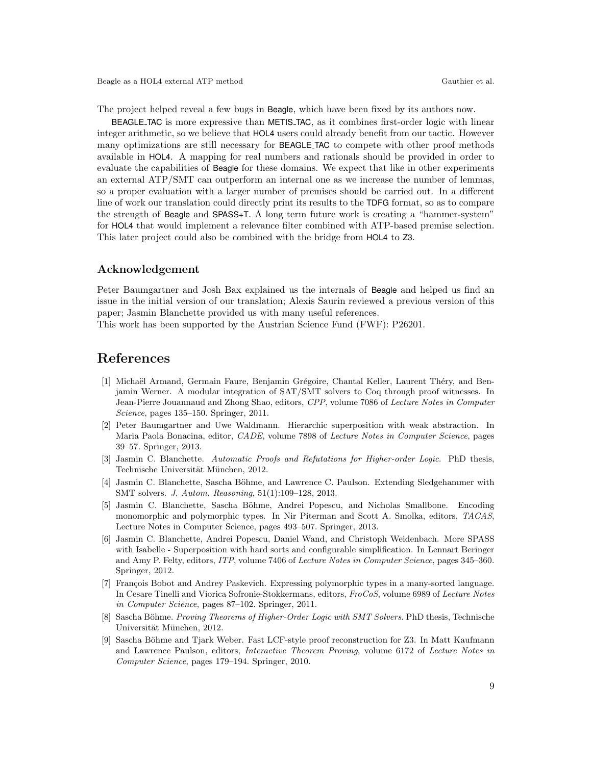The project helped reveal a few bugs in Beagle, which have been fixed by its authors now.

BEAGLE TAC is more expressive than METIS TAC, as it combines first-order logic with linear integer arithmetic, so we believe that HOL4 users could already benefit from our tactic. However many optimizations are still necessary for BEAGLE TAC to compete with other proof methods available in HOL4. A mapping for real numbers and rationals should be provided in order to evaluate the capabilities of Beagle for these domains. We expect that like in other experiments an external ATP/SMT can outperform an internal one as we increase the number of lemmas, so a proper evaluation with a larger number of premises should be carried out. In a different line of work our translation could directly print its results to the TDFG format, so as to compare the strength of Beagle and SPASS+T. A long term future work is creating a "hammer-system" for HOL4 that would implement a relevance filter combined with ATP-based premise selection. This later project could also be combined with the bridge from HOL4 to Z3.

#### Acknowledgement

Peter Baumgartner and Josh Bax explained us the internals of Beagle and helped us find an issue in the initial version of our translation; Alexis Saurin reviewed a previous version of this paper; Jasmin Blanchette provided us with many useful references.

This work has been supported by the Austrian Science Fund (FWF): P26201.

### References

- <span id="page-8-0"></span>[1] Michaël Armand, Germain Faure, Benjamin Grégoire, Chantal Keller, Laurent Théry, and Benjamin Werner. A modular integration of SAT/SMT solvers to Coq through proof witnesses. In Jean-Pierre Jouannaud and Zhong Shao, editors, CPP, volume 7086 of Lecture Notes in Computer Science, pages 135–150. Springer, 2011.
- <span id="page-8-1"></span>[2] Peter Baumgartner and Uwe Waldmann. Hierarchic superposition with weak abstraction. In Maria Paola Bonacina, editor, CADE, volume 7898 of Lecture Notes in Computer Science, pages 39–57. Springer, 2013.
- <span id="page-8-8"></span>[3] Jasmin C. Blanchette. Automatic Proofs and Refutations for Higher-order Logic. PhD thesis, Technische Universität München, 2012.
- <span id="page-8-4"></span>[4] Jasmin C. Blanchette, Sascha Böhme, and Lawrence C. Paulson. Extending Sledgehammer with SMT solvers. J. Autom. Reasoning, 51(1):109–128, 2013.
- <span id="page-8-5"></span>[5] Jasmin C. Blanchette, Sascha Böhme, Andrei Popescu, and Nicholas Smallbone. Encoding monomorphic and polymorphic types. In Nir Piterman and Scott A. Smolka, editors, TACAS, Lecture Notes in Computer Science, pages 493–507. Springer, 2013.
- <span id="page-8-6"></span>[6] Jasmin C. Blanchette, Andrei Popescu, Daniel Wand, and Christoph Weidenbach. More SPASS with Isabelle - Superposition with hard sorts and configurable simplification. In Lennart Beringer and Amy P. Felty, editors, ITP, volume 7406 of Lecture Notes in Computer Science, pages 345–360. Springer, 2012.
- <span id="page-8-7"></span>[7] François Bobot and Andrey Paskevich. Expressing polymorphic types in a many-sorted language. In Cesare Tinelli and Viorica Sofronie-Stokkermans, editors, FroCoS, volume 6989 of Lecture Notes in Computer Science, pages 87–102. Springer, 2011.
- <span id="page-8-3"></span>[8] Sascha Böhme. Proving Theorems of Higher-Order Logic with SMT Solvers. PhD thesis, Technische Universität München, 2012.
- <span id="page-8-2"></span>[9] Sascha Böhme and Tjark Weber. Fast LCF-style proof reconstruction for Z3. In Matt Kaufmann and Lawrence Paulson, editors, Interactive Theorem Proving, volume 6172 of Lecture Notes in Computer Science, pages 179–194. Springer, 2010.